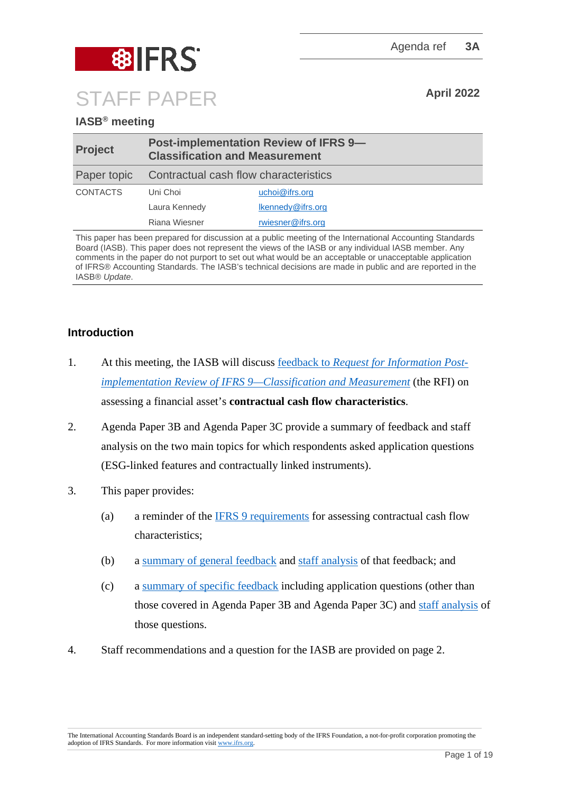

# **IASB® meeting**

| <b>Project</b>  | <b>Post-implementation Review of IFRS 9-</b><br><b>Classification and Measurement</b> |                   |  |
|-----------------|---------------------------------------------------------------------------------------|-------------------|--|
| Paper topic     | Contractual cash flow characteristics                                                 |                   |  |
| <b>CONTACTS</b> | Uni Choi                                                                              | uchoi@ifrs.org    |  |
|                 | Laura Kennedy                                                                         | Ikennedy@ifrs.org |  |
|                 | Riana Wiesner                                                                         | rwiesner@ifrs.org |  |

This paper has been prepared for discussion at a public meeting of the International Accounting Standards Board (IASB). This paper does not represent the views of the IASB or any individual IASB member. Any comments in the paper do not purport to set out what would be an acceptable or unacceptable application of IFRS® Accounting Standards. The IASB's technical decisions are made in public and are reported in the IASB® *Update*.

## **Introduction**

- 1. At this meeting, the IASB will discuss feedback to *[Request for Information Post](https://www.ifrs.org/projects/work-plan/post-implementation-review-of-ifrs-9-classification-and-measurement/request-for-information-and-comment-letters/)[implementation Review of IFRS 9—Classification and Measurement](https://www.ifrs.org/projects/work-plan/post-implementation-review-of-ifrs-9-classification-and-measurement/request-for-information-and-comment-letters/)* (the RFI) on assessing a financial asset's **contractual cash flow characteristics**.
- 2. Agenda Paper 3B and Agenda Paper 3C provide a summary of feedback and staff analysis on the two main topics for which respondents asked application questions (ESG-linked features and contractually linked instruments).
- 3. This paper provides:
	- (a) a reminder of the [IFRS 9 requirements](#page-2-0) for assessing contractual cash flow characteristics;
	- (b) a [summary of general feedback](#page-4-0) and [staff analysis](#page-5-0) of that feedback; and
	- (c) a [summary of specific](#page-5-1) feedback including application questions (other than those covered in Agenda Paper 3B and Agenda Paper 3C) and [staff analysis](#page-6-0) of those questions.
- 4. Staff recommendations and a question for the IASB are provided on page 2.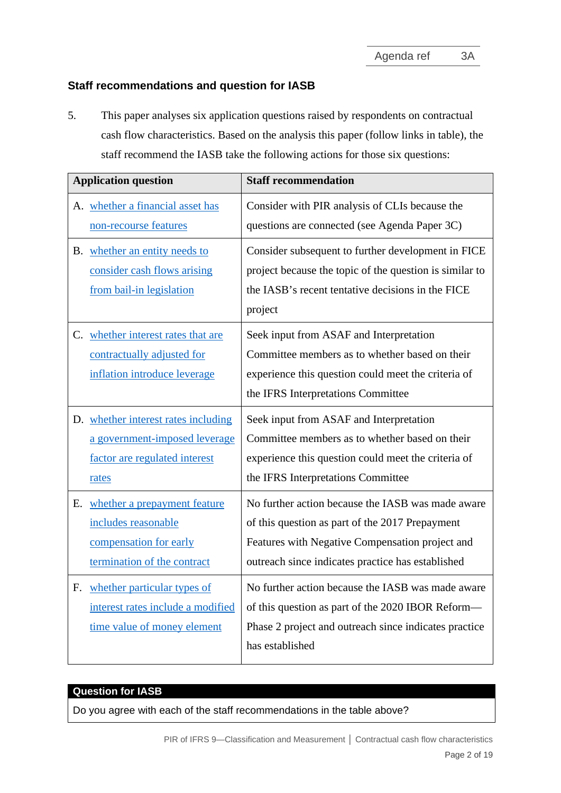# **Staff recommendations and question for IASB**

5. This paper analyses six application questions raised by respondents on contractual cash flow characteristics. Based on the analysis this paper (follow links in table), the staff recommend the IASB take the following actions for those six questions:

|             | <b>Application question</b>                                                                                    | <b>Staff recommendation</b>                                                                                                                                                                                  |  |  |
|-------------|----------------------------------------------------------------------------------------------------------------|--------------------------------------------------------------------------------------------------------------------------------------------------------------------------------------------------------------|--|--|
|             | A. whether a financial asset has<br>non-recourse features                                                      | Consider with PIR analysis of CLIs because the<br>questions are connected (see Agenda Paper 3C)                                                                                                              |  |  |
|             | B. whether an entity needs to<br>consider cash flows arising<br>from bail-in legislation                       | Consider subsequent to further development in FICE<br>project because the topic of the question is similar to<br>the IASB's recent tentative decisions in the FICE<br>project                                |  |  |
|             | C. whether interest rates that are<br>contractually adjusted for<br>inflation introduce leverage               | Seek input from ASAF and Interpretation<br>Committee members as to whether based on their<br>experience this question could meet the criteria of<br>the IFRS Interpretations Committee                       |  |  |
|             | D. whether interest rates including<br>a government-imposed leverage<br>factor are regulated interest<br>rates | Seek input from ASAF and Interpretation<br>Committee members as to whether based on their<br>experience this question could meet the criteria of<br>the IFRS Interpretations Committee                       |  |  |
| Е.          | whether a prepayment feature<br>includes reasonable<br>compensation for early<br>termination of the contract   | No further action because the IASB was made aware<br>of this question as part of the 2017 Prepayment<br>Features with Negative Compensation project and<br>outreach since indicates practice has established |  |  |
| $F_{\cdot}$ | whether particular types of<br>interest rates include a modified<br>time value of money element                | No further action because the IASB was made aware<br>of this question as part of the 2020 IBOR Reform-<br>Phase 2 project and outreach since indicates practice<br>has established                           |  |  |

#### **Question for IASB**

Do you agree with each of the staff recommendations in the table above?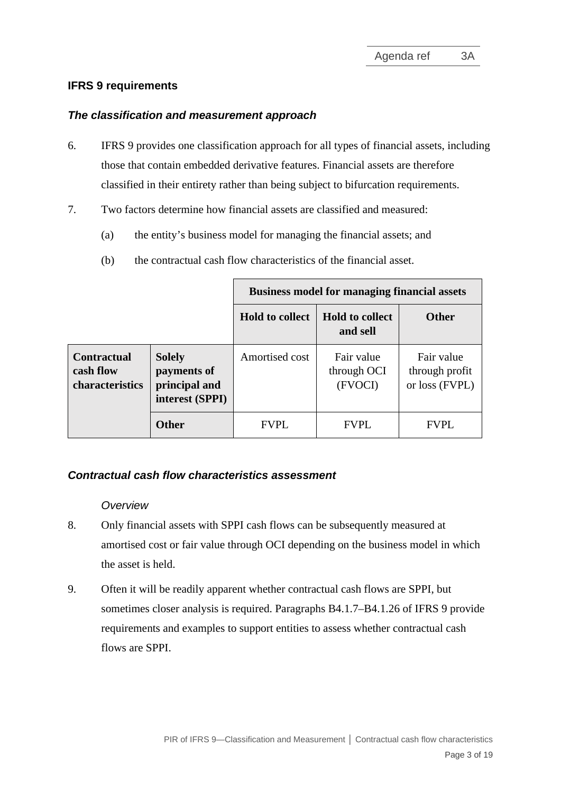## <span id="page-2-0"></span>**IFRS 9 requirements**

#### *The classification and measurement approach*

- 6. IFRS 9 provides one classification approach for all types of financial assets, including those that contain embedded derivative features. Financial assets are therefore classified in their entirety rather than being subject to bifurcation requirements.
- 7. Two factors determine how financial assets are classified and measured:
	- (a) the entity's business model for managing the financial assets; and
	- (b) the contractual cash flow characteristics of the financial asset.

|                                                    |                                                                  | <b>Business model for managing financial assets</b> |                                      |                                                |
|----------------------------------------------------|------------------------------------------------------------------|-----------------------------------------------------|--------------------------------------|------------------------------------------------|
|                                                    |                                                                  | <b>Hold to collect</b>                              | <b>Hold to collect</b><br>and sell   | <b>Other</b>                                   |
| <b>Contractual</b><br>cash flow<br>characteristics | <b>Solely</b><br>payments of<br>principal and<br>interest (SPPI) | Amortised cost                                      | Fair value<br>through OCI<br>(FVOCI) | Fair value<br>through profit<br>or loss (FVPL) |
|                                                    | <b>Other</b>                                                     | <b>FVPL</b>                                         | FVPL                                 | <b>FVPL</b>                                    |

### *Contractual cash flow characteristics assessment*

#### *Overview*

- 8. Only financial assets with SPPI cash flows can be subsequently measured at amortised cost or fair value through OCI depending on the business model in which the asset is held.
- 9. Often it will be readily apparent whether contractual cash flows are SPPI, but sometimes closer analysis is required. Paragraphs B4.1.7–B4.1.26 of IFRS 9 provide requirements and examples to support entities to assess whether contractual cash flows are SPPI.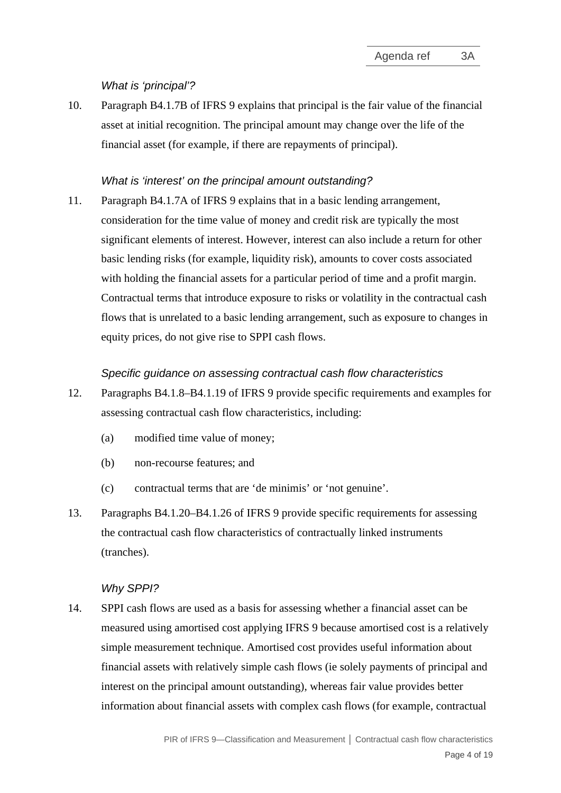#### *What is 'principal'?*

10. Paragraph B4.1.7B of IFRS 9 explains that principal is the fair value of the financial asset at initial recognition. The principal amount may change over the life of the financial asset (for example, if there are repayments of principal).

#### *What is 'interest' on the principal amount outstanding?*

11. Paragraph B4.1.7A of IFRS 9 explains that in a basic lending arrangement, consideration for the time value of money and credit risk are typically the most significant elements of interest. However, interest can also include a return for other basic lending risks (for example, liquidity risk), amounts to cover costs associated with holding the financial assets for a particular period of time and a profit margin. Contractual terms that introduce exposure to risks or volatility in the contractual cash flows that is unrelated to a basic lending arrangement, such as exposure to changes in equity prices, do not give rise to SPPI cash flows.

#### *Specific guidance on assessing contractual cash flow characteristics*

- 12. Paragraphs B4.1.8–B4.1.19 of IFRS 9 provide specific requirements and examples for assessing contractual cash flow characteristics, including:
	- (a) modified time value of money;
	- (b) non-recourse features; and
	- (c) contractual terms that are 'de minimis' or 'not genuine'.
- 13. Paragraphs B4.1.20–B4.1.26 of IFRS 9 provide specific requirements for assessing the contractual cash flow characteristics of contractually linked instruments (tranches).

#### *Why SPPI?*

14. SPPI cash flows are used as a basis for assessing whether a financial asset can be measured using amortised cost applying IFRS 9 because amortised cost is a relatively simple measurement technique. Amortised cost provides useful information about financial assets with relatively simple cash flows (ie solely payments of principal and interest on the principal amount outstanding), whereas fair value provides better information about financial assets with complex cash flows (for example, contractual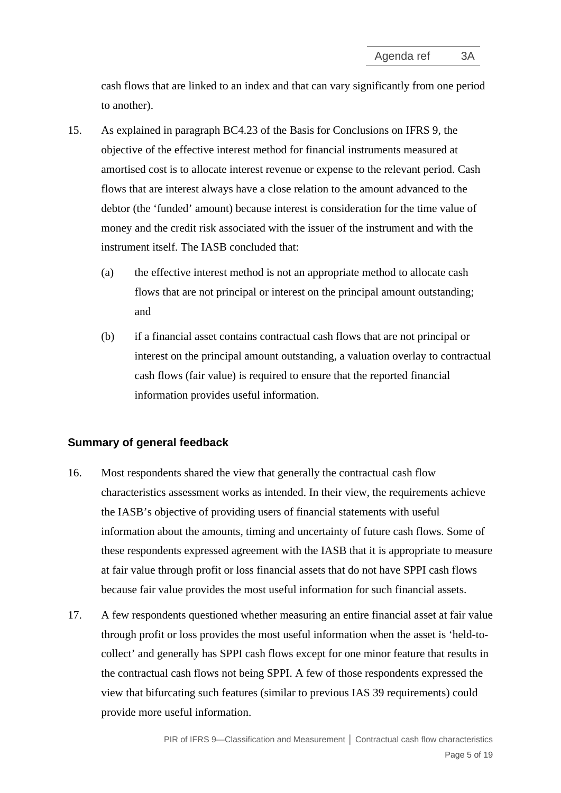cash flows that are linked to an index and that can vary significantly from one period to another).

- 15. As explained in paragraph BC4.23 of the Basis for Conclusions on IFRS 9, the objective of the effective interest method for financial instruments measured at amortised cost is to allocate interest revenue or expense to the relevant period. Cash flows that are interest always have a close relation to the amount advanced to the debtor (the 'funded' amount) because interest is consideration for the time value of money and the credit risk associated with the issuer of the instrument and with the instrument itself. The IASB concluded that:
	- (a) the effective interest method is not an appropriate method to allocate cash flows that are not principal or interest on the principal amount outstanding; and
	- (b) if a financial asset contains contractual cash flows that are not principal or interest on the principal amount outstanding, a valuation overlay to contractual cash flows (fair value) is required to ensure that the reported financial information provides useful information.

## <span id="page-4-0"></span>**Summary of general feedback**

- 16. Most respondents shared the view that generally the contractual cash flow characteristics assessment works as intended. In their view, the requirements achieve the IASB's objective of providing users of financial statements with useful information about the amounts, timing and uncertainty of future cash flows. Some of these respondents expressed agreement with the IASB that it is appropriate to measure at fair value through profit or loss financial assets that do not have SPPI cash flows because fair value provides the most useful information for such financial assets.
- 17. A few respondents questioned whether measuring an entire financial asset at fair value through profit or loss provides the most useful information when the asset is 'held-tocollect' and generally has SPPI cash flows except for one minor feature that results in the contractual cash flows not being SPPI. A few of those respondents expressed the view that bifurcating such features (similar to previous IAS 39 requirements) could provide more useful information.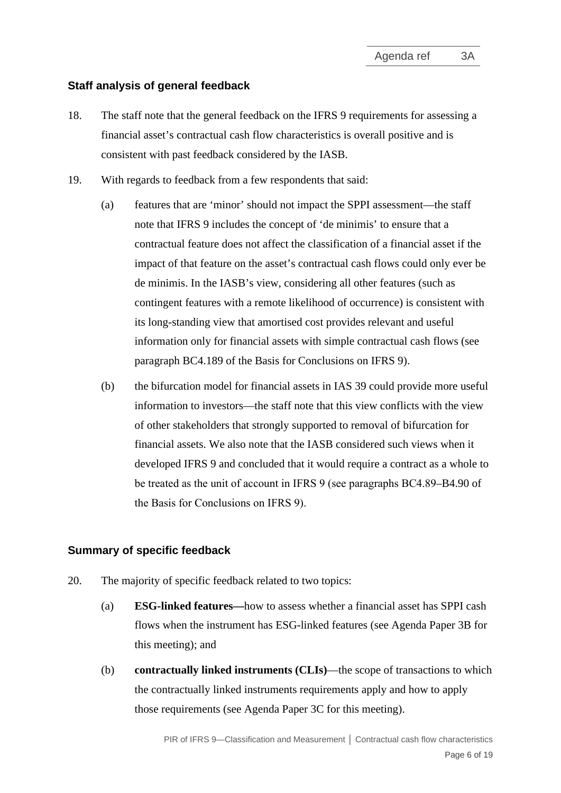#### <span id="page-5-0"></span>**Staff analysis of general feedback**

- 18. The staff note that the general feedback on the IFRS 9 requirements for assessing a financial asset's contractual cash flow characteristics is overall positive and is consistent with past feedback considered by the IASB.
- 19. With regards to feedback from a few respondents that said:
	- (a) features that are 'minor' should not impact the SPPI assessment—the staff note that IFRS 9 includes the concept of 'de minimis' to ensure that a contractual feature does not affect the classification of a financial asset if the impact of that feature on the asset's contractual cash flows could only ever be de minimis. In the IASB's view, considering all other features (such as contingent features with a remote likelihood of occurrence) is consistent with its long-standing view that amortised cost provides relevant and useful information only for financial assets with simple contractual cash flows (see paragraph BC4.189 of the Basis for Conclusions on IFRS 9).
	- (b) the bifurcation model for financial assets in IAS 39 could provide more useful information to investors—the staff note that this view conflicts with the view of other stakeholders that strongly supported to removal of bifurcation for financial assets. We also note that the IASB considered such views when it developed IFRS 9 and concluded that it would require a contract as a whole to be treated as the unit of account in IFRS 9 (see paragraphs BC4.89–B4.90 of the Basis for Conclusions on IFRS 9).

#### <span id="page-5-1"></span>**Summary of specific feedback**

- <span id="page-5-2"></span>20. The majority of specific feedback related to two topics:
	- (a) **ESG-linked features—**how to assess whether a financial asset has SPPI cash flows when the instrument has ESG-linked features (see Agenda Paper 3B for this meeting); and
	- (b) **contractually linked instruments (CLIs)**—the scope of transactions to which the contractually linked instruments requirements apply and how to apply those requirements (see Agenda Paper 3C for this meeting).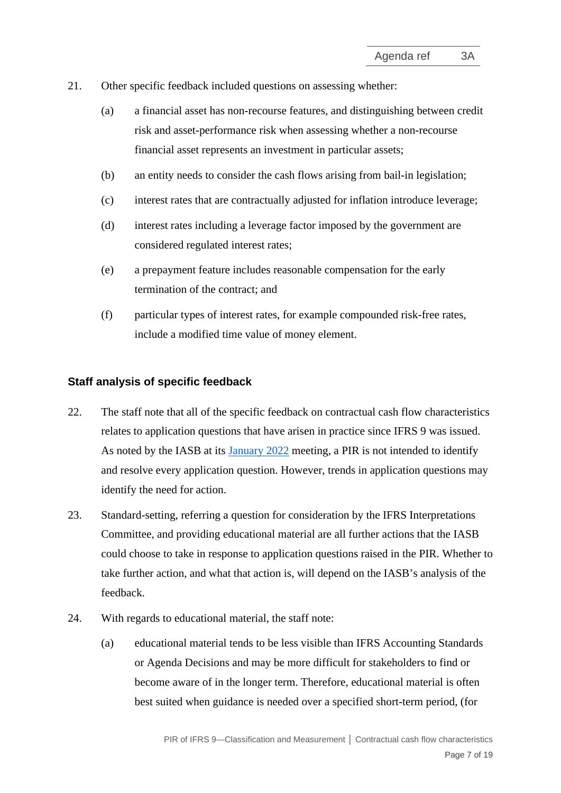- <span id="page-6-1"></span>21. Other specific feedback included questions on assessing whether:
	- (a) a financial asset has non-recourse features, and distinguishing between credit risk and asset-performance risk when assessing whether a non-recourse financial asset represents an investment in particular assets;
	- (b) an entity needs to consider the cash flows arising from bail-in legislation;
	- (c) interest rates that are contractually adjusted for inflation introduce leverage;
	- (d) interest rates including a leverage factor imposed by the government are considered regulated interest rates;
	- (e) a prepayment feature includes reasonable compensation for the early termination of the contract; and
	- (f) particular types of interest rates, for example compounded risk-free rates, include a modified time value of money element.

#### <span id="page-6-0"></span>**Staff analysis of specific feedback**

- 22. The staff note that all of the specific feedback on contractual cash flow characteristics relates to application questions that have arisen in practice since IFRS 9 was issued. As noted by the IASB at its [January 2022](https://www.ifrs.org/content/dam/ifrs/meetings/2022/january/iasb/ap8a-pir-outcome-prioritisation.pdf) meeting, a PIR is not intended to identify and resolve every application question. However, trends in application questions may identify the need for action.
- 23. Standard-setting, referring a question for consideration by the IFRS Interpretations Committee, and providing educational material are all further actions that the IASB could choose to take in response to application questions raised in the PIR. Whether to take further action, and what that action is, will depend on the IASB's analysis of the feedback.
- 24. With regards to educational material, the staff note:
	- (a) educational material tends to be less visible than IFRS Accounting Standards or Agenda Decisions and may be more difficult for stakeholders to find or become aware of in the longer term. Therefore, educational material is often best suited when guidance is needed over a specified short-term period, (for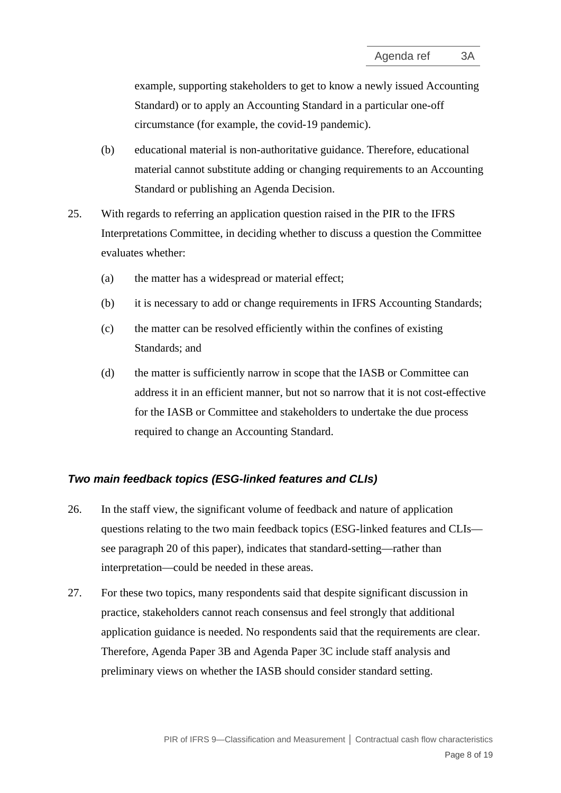example, supporting stakeholders to get to know a newly issued Accounting Standard) or to apply an Accounting Standard in a particular one-off circumstance (for example, the covid-19 pandemic).

- (b) educational material is non-authoritative guidance. Therefore, educational material cannot substitute adding or changing requirements to an Accounting Standard or publishing an Agenda Decision.
- 25. With regards to referring an application question raised in the PIR to the IFRS Interpretations Committee, in deciding whether to discuss a question the Committee evaluates whether:
	- (a) the matter has a widespread or material effect;
	- (b) it is necessary to add or change requirements in IFRS Accounting Standards;
	- (c) the matter can be resolved efficiently within the confines of existing Standards; and
	- (d) the matter is sufficiently narrow in scope that the IASB or Committee can address it in an efficient manner, but not so narrow that it is not cost-effective for the IASB or Committee and stakeholders to undertake the due process required to change an Accounting Standard.

#### *Two main feedback topics (ESG-linked features and CLIs)*

- 26. In the staff view, the significant volume of feedback and nature of application questions relating to the two main feedback topics (ESG-linked features and CLIs see paragraph [20](#page-5-2) of this paper), indicates that standard-setting—rather than interpretation—could be needed in these areas.
- 27. For these two topics, many respondents said that despite significant discussion in practice, stakeholders cannot reach consensus and feel strongly that additional application guidance is needed. No respondents said that the requirements are clear. Therefore, Agenda Paper 3B and Agenda Paper 3C include staff analysis and preliminary views on whether the IASB should consider standard setting.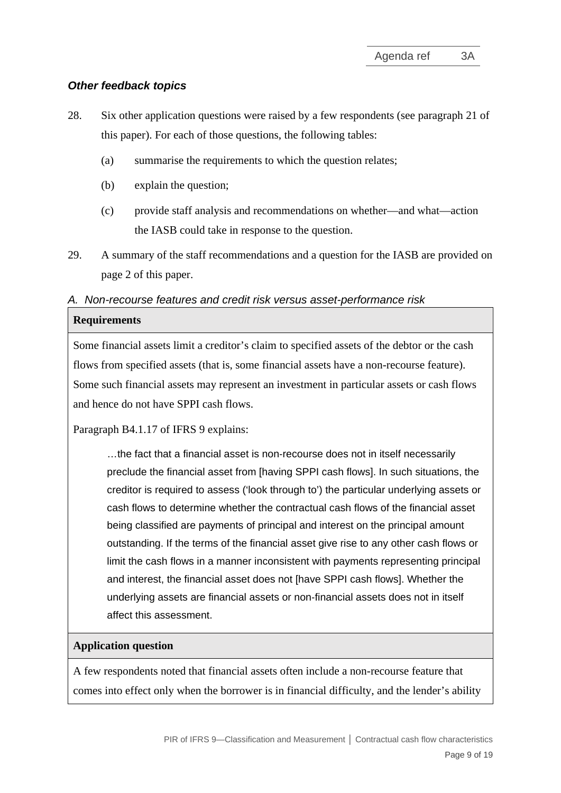## *Other feedback topics*

- 28. Six other application questions were raised by a few respondents (see paragraph [21](#page-6-1) of this paper). For each of those questions, the following tables:
	- (a) summarise the requirements to which the question relates;
	- (b) explain the question;
	- (c) provide staff analysis and recommendations on whether—and what—action the IASB could take in response to the question.
- 29. A summary of the staff recommendations and a question for the IASB are provided on page 2 of this paper.

### <span id="page-8-0"></span>*A. Non-recourse features and credit risk versus asset-performance risk*

#### **Requirements**

Some financial assets limit a creditor's claim to specified assets of the debtor or the cash flows from specified assets (that is, some financial assets have a non-recourse feature). Some such financial assets may represent an investment in particular assets or cash flows and hence do not have SPPI cash flows.

Paragraph B4.1.17 of IFRS 9 explains:

…the fact that a financial asset is non‑recourse does not in itself necessarily preclude the financial asset from [having SPPI cash flows]. In such situations, the creditor is required to assess ('look through to') the particular underlying assets or cash flows to determine whether the contractual cash flows of the financial asset being classified are payments of principal and interest on the principal amount outstanding. If the terms of the financial asset give rise to any other cash flows or limit the cash flows in a manner inconsistent with payments representing principal and interest, the financial asset does not [have SPPI cash flows]. Whether the underlying assets are financial assets or non‑financial assets does not in itself affect this assessment.

#### **Application question**

A few respondents noted that financial assets often include a non-recourse feature that comes into effect only when the borrower is in financial difficulty, and the lender's ability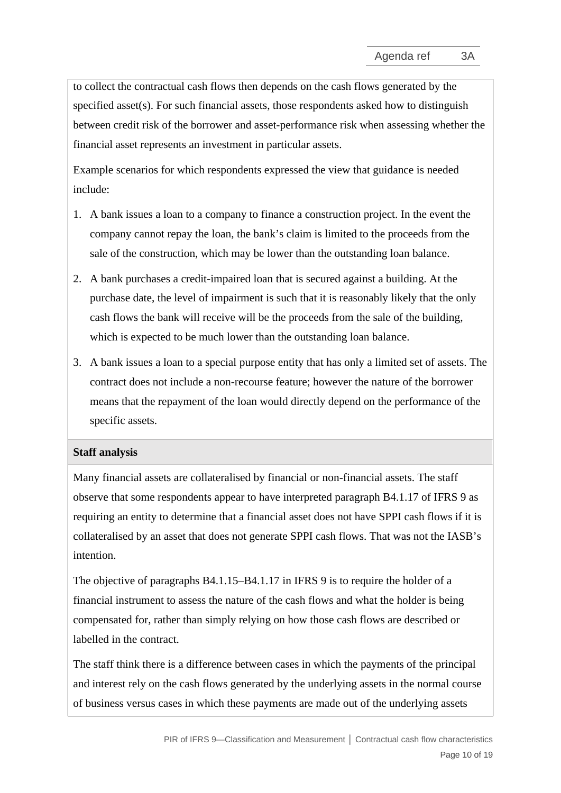to collect the contractual cash flows then depends on the cash flows generated by the specified asset(s). For such financial assets, those respondents asked how to distinguish between credit risk of the borrower and asset-performance risk when assessing whether the financial asset represents an investment in particular assets.

Example scenarios for which respondents expressed the view that guidance is needed include:

- 1. A bank issues a loan to a company to finance a construction project. In the event the company cannot repay the loan, the bank's claim is limited to the proceeds from the sale of the construction, which may be lower than the outstanding loan balance.
- 2. A bank purchases a credit-impaired loan that is secured against a building. At the purchase date, the level of impairment is such that it is reasonably likely that the only cash flows the bank will receive will be the proceeds from the sale of the building, which is expected to be much lower than the outstanding loan balance.
- 3. A bank issues a loan to a special purpose entity that has only a limited set of assets. The contract does not include a non-recourse feature; however the nature of the borrower means that the repayment of the loan would directly depend on the performance of the specific assets.

#### **Staff analysis**

Many financial assets are collateralised by financial or non-financial assets. The staff observe that some respondents appear to have interpreted paragraph B4.1.17 of IFRS 9 as requiring an entity to determine that a financial asset does not have SPPI cash flows if it is collateralised by an asset that does not generate SPPI cash flows. That was not the IASB's intention.

The objective of paragraphs B4.1.15–B4.1.17 in IFRS 9 is to require the holder of a financial instrument to assess the nature of the cash flows and what the holder is being compensated for, rather than simply relying on how those cash flows are described or labelled in the contract.

The staff think there is a difference between cases in which the payments of the principal and interest rely on the cash flows generated by the underlying assets in the normal course of business versus cases in which these payments are made out of the underlying assets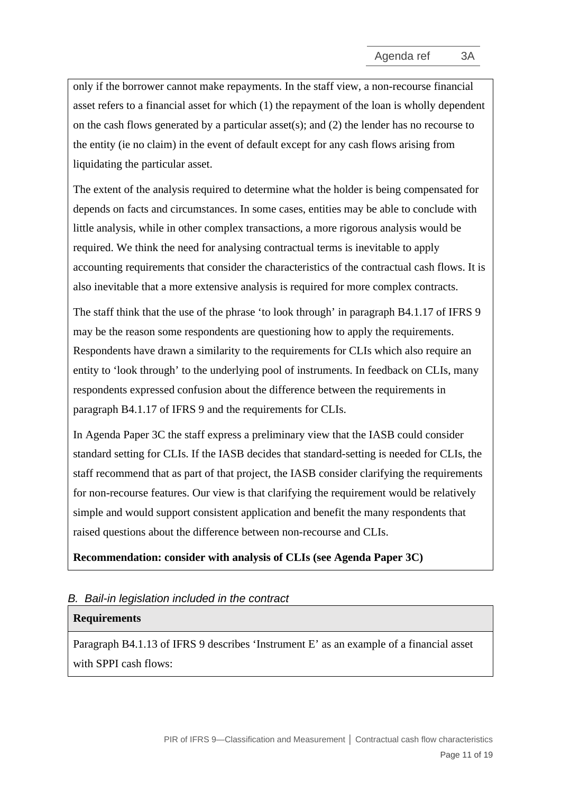only if the borrower cannot make repayments. In the staff view, a non-recourse financial asset refers to a financial asset for which (1) the repayment of the loan is wholly dependent on the cash flows generated by a particular asset(s); and (2) the lender has no recourse to the entity (ie no claim) in the event of default except for any cash flows arising from liquidating the particular asset.

The extent of the analysis required to determine what the holder is being compensated for depends on facts and circumstances. In some cases, entities may be able to conclude with little analysis, while in other complex transactions, a more rigorous analysis would be required. We think the need for analysing contractual terms is inevitable to apply accounting requirements that consider the characteristics of the contractual cash flows. It is also inevitable that a more extensive analysis is required for more complex contracts.

The staff think that the use of the phrase 'to look through' in paragraph B4.1.17 of IFRS 9 may be the reason some respondents are questioning how to apply the requirements. Respondents have drawn a similarity to the requirements for CLIs which also require an entity to 'look through' to the underlying pool of instruments. In feedback on CLIs, many respondents expressed confusion about the difference between the requirements in paragraph B4.1.17 of IFRS 9 and the requirements for CLIs.

In Agenda Paper 3C the staff express a preliminary view that the IASB could consider standard setting for CLIs. If the IASB decides that standard-setting is needed for CLIs, the staff recommend that as part of that project, the IASB consider clarifying the requirements for non-recourse features. Our view is that clarifying the requirement would be relatively simple and would support consistent application and benefit the many respondents that raised questions about the difference between non-recourse and CLIs.

## **Recommendation: consider with analysis of CLIs (see Agenda Paper 3C)**

## <span id="page-10-0"></span>*B. Bail-in legislation included in the contract*

#### **Requirements**

Paragraph B4.1.13 of IFRS 9 describes 'Instrument E' as an example of a financial asset with SPPI cash flows: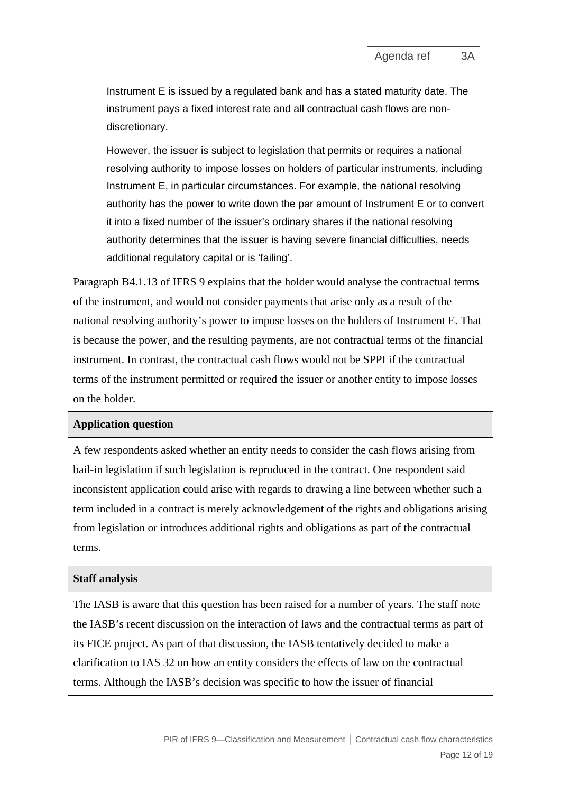Instrument E is issued by a regulated bank and has a stated maturity date. The instrument pays a fixed interest rate and all contractual cash flows are nondiscretionary.

However, the issuer is subject to legislation that permits or requires a national resolving authority to impose losses on holders of particular instruments, including Instrument E, in particular circumstances. For example, the national resolving authority has the power to write down the par amount of Instrument E or to convert it into a fixed number of the issuer's ordinary shares if the national resolving authority determines that the issuer is having severe financial difficulties, needs additional regulatory capital or is 'failing'.

Paragraph B4.1.13 of IFRS 9 explains that the holder would analyse the contractual terms of the instrument, and would not consider payments that arise only as a result of the national resolving authority's power to impose losses on the holders of Instrument E. That is because the power, and the resulting payments, are not contractual terms of the financial instrument. In contrast, the contractual cash flows would not be SPPI if the contractual terms of the instrument permitted or required the issuer or another entity to impose losses on the holder.

#### **Application question**

A few respondents asked whether an entity needs to consider the cash flows arising from bail-in legislation if such legislation is reproduced in the contract. One respondent said inconsistent application could arise with regards to drawing a line between whether such a term included in a contract is merely acknowledgement of the rights and obligations arising from legislation or introduces additional rights and obligations as part of the contractual terms.

#### **Staff analysis**

The IASB is aware that this question has been raised for a number of years. The staff note the IASB's recent discussion on the interaction of laws and the contractual terms as part of its FICE project. As part of that discussion, the IASB tentatively decided to make a clarification to IAS 32 on how an entity considers the effects of law on the contractual terms. Although the IASB's decision was specific to how the issuer of financial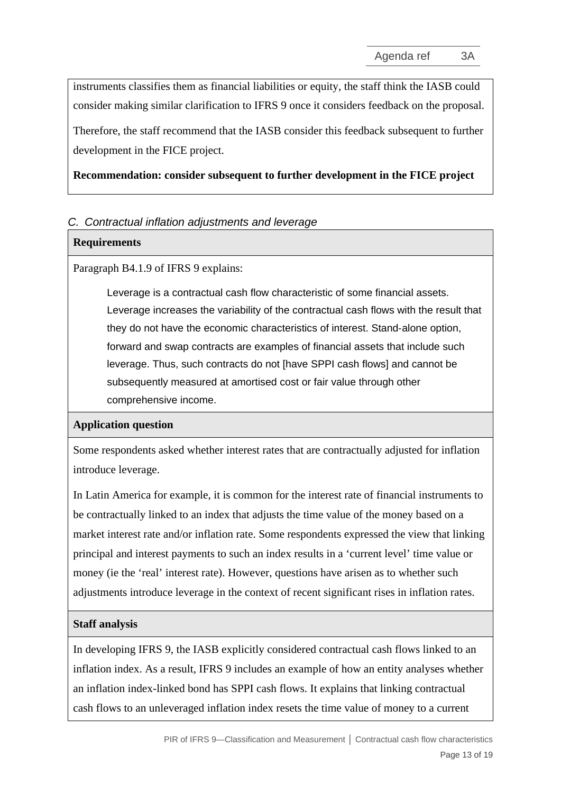instruments classifies them as financial liabilities or equity, the staff think the IASB could consider making similar clarification to IFRS 9 once it considers feedback on the proposal.

Therefore, the staff recommend that the IASB consider this feedback subsequent to further development in the FICE project.

# **Recommendation: consider subsequent to further development in the FICE project**

# <span id="page-12-0"></span>*C. Contractual inflation adjustments and leverage*

## **Requirements**

Paragraph B4.1.9 of IFRS 9 explains:

Leverage is a contractual cash flow characteristic of some financial assets. Leverage increases the variability of the contractual cash flows with the result that they do not have the economic characteristics of interest. Stand‑alone option, forward and swap contracts are examples of financial assets that include such leverage. Thus, such contracts do not [have SPPI cash flows] and cannot be subsequently measured at amortised cost or fair value through other comprehensive income.

## **Application question**

Some respondents asked whether interest rates that are contractually adjusted for inflation introduce leverage.

In Latin America for example, it is common for the interest rate of financial instruments to be contractually linked to an index that adjusts the time value of the money based on a market interest rate and/or inflation rate. Some respondents expressed the view that linking principal and interest payments to such an index results in a 'current level' time value or money (ie the 'real' interest rate). However, questions have arisen as to whether such adjustments introduce leverage in the context of recent significant rises in inflation rates.

# **Staff analysis**

In developing IFRS 9, the IASB explicitly considered contractual cash flows linked to an inflation index. As a result, IFRS 9 includes an example of how an entity analyses whether an inflation index-linked bond has SPPI cash flows. It explains that linking contractual cash flows to an unleveraged inflation index resets the time value of money to a current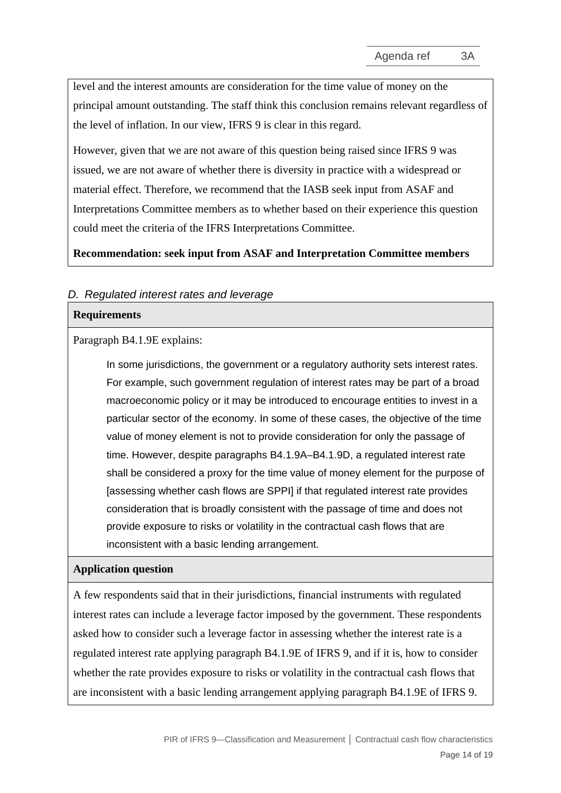level and the interest amounts are consideration for the time value of money on the principal amount outstanding. The staff think this conclusion remains relevant regardless of the level of inflation. In our view, IFRS 9 is clear in this regard.

However, given that we are not aware of this question being raised since IFRS 9 was issued, we are not aware of whether there is diversity in practice with a widespread or material effect. Therefore, we recommend that the IASB seek input from ASAF and Interpretations Committee members as to whether based on their experience this question could meet the criteria of the IFRS Interpretations Committee.

### **Recommendation: seek input from ASAF and Interpretation Committee members**

#### <span id="page-13-0"></span>*D. Regulated interest rates and leverage*

#### **Requirements**

Paragraph B4.1.9E explains:

In some jurisdictions, the government or a regulatory authority sets interest rates. For example, such government regulation of interest rates may be part of a broad macroeconomic policy or it may be introduced to encourage entities to invest in a particular sector of the economy. In some of these cases, the objective of the time value of money element is not to provide consideration for only the passage of time. However, despite paragraphs B4.1.9A–B4.1.9D, a regulated interest rate shall be considered a proxy for the time value of money element for the purpose of [assessing whether cash flows are SPPI] if that regulated interest rate provides consideration that is broadly consistent with the passage of time and does not provide exposure to risks or volatility in the contractual cash flows that are inconsistent with a basic lending arrangement.

#### **Application question**

A few respondents said that in their jurisdictions, financial instruments with regulated interest rates can include a leverage factor imposed by the government. These respondents asked how to consider such a leverage factor in assessing whether the interest rate is a regulated interest rate applying paragraph B4.1.9E of IFRS 9, and if it is, how to consider whether the rate provides exposure to risks or volatility in the contractual cash flows that are inconsistent with a basic lending arrangement applying paragraph B4.1.9E of IFRS 9.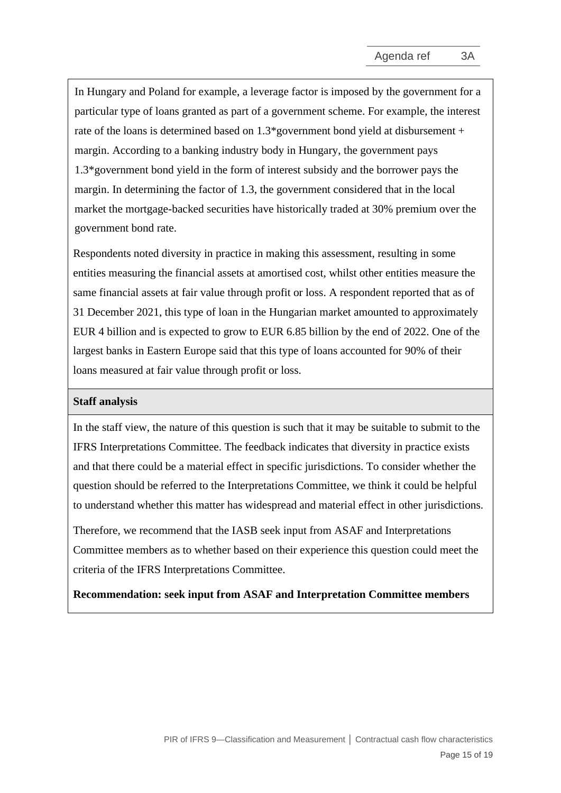In Hungary and Poland for example, a leverage factor is imposed by the government for a particular type of loans granted as part of a government scheme. For example, the interest rate of the loans is determined based on 1.3\*government bond yield at disbursement + margin. According to a banking industry body in Hungary, the government pays 1.3\*government bond yield in the form of interest subsidy and the borrower pays the margin. In determining the factor of 1.3, the government considered that in the local market the mortgage-backed securities have historically traded at 30% premium over the government bond rate.

Respondents noted diversity in practice in making this assessment, resulting in some entities measuring the financial assets at amortised cost, whilst other entities measure the same financial assets at fair value through profit or loss. A respondent reported that as of 31 December 2021, this type of loan in the Hungarian market amounted to approximately EUR 4 billion and is expected to grow to EUR 6.85 billion by the end of 2022. One of the largest banks in Eastern Europe said that this type of loans accounted for 90% of their loans measured at fair value through profit or loss.

#### **Staff analysis**

In the staff view, the nature of this question is such that it may be suitable to submit to the IFRS Interpretations Committee. The feedback indicates that diversity in practice exists and that there could be a material effect in specific jurisdictions. To consider whether the question should be referred to the Interpretations Committee, we think it could be helpful to understand whether this matter has widespread and material effect in other jurisdictions.

Therefore, we recommend that the IASB seek input from ASAF and Interpretations Committee members as to whether based on their experience this question could meet the criteria of the IFRS Interpretations Committee.

**Recommendation: seek input from ASAF and Interpretation Committee members**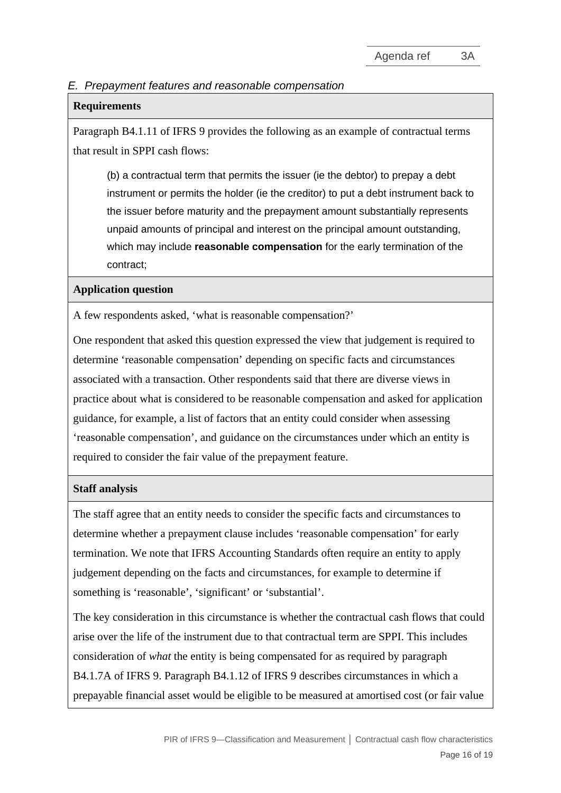## <span id="page-15-0"></span>*E. Prepayment features and reasonable compensation*

### **Requirements**

Paragraph B4.1.11 of IFRS 9 provides the following as an example of contractual terms that result in SPPI cash flows:

(b) a contractual term that permits the issuer (ie the debtor) to prepay a debt instrument or permits the holder (ie the creditor) to put a debt instrument back to the issuer before maturity and the prepayment amount substantially represents unpaid amounts of principal and interest on the principal amount outstanding, which may include **reasonable compensation** for the early termination of the contract;

### **Application question**

A few respondents asked, 'what is reasonable compensation?'

One respondent that asked this question expressed the view that judgement is required to determine 'reasonable compensation' depending on specific facts and circumstances associated with a transaction. Other respondents said that there are diverse views in practice about what is considered to be reasonable compensation and asked for application guidance, for example, a list of factors that an entity could consider when assessing 'reasonable compensation', and guidance on the circumstances under which an entity is required to consider the fair value of the prepayment feature.

## **Staff analysis**

The staff agree that an entity needs to consider the specific facts and circumstances to determine whether a prepayment clause includes 'reasonable compensation' for early termination. We note that IFRS Accounting Standards often require an entity to apply judgement depending on the facts and circumstances, for example to determine if something is 'reasonable', 'significant' or 'substantial'.

The key consideration in this circumstance is whether the contractual cash flows that could arise over the life of the instrument due to that contractual term are SPPI. This includes consideration of *what* the entity is being compensated for as required by paragraph B4.1.7A of IFRS 9. Paragraph B4.1.12 of IFRS 9 describes circumstances in which a prepayable financial asset would be eligible to be measured at amortised cost (or fair value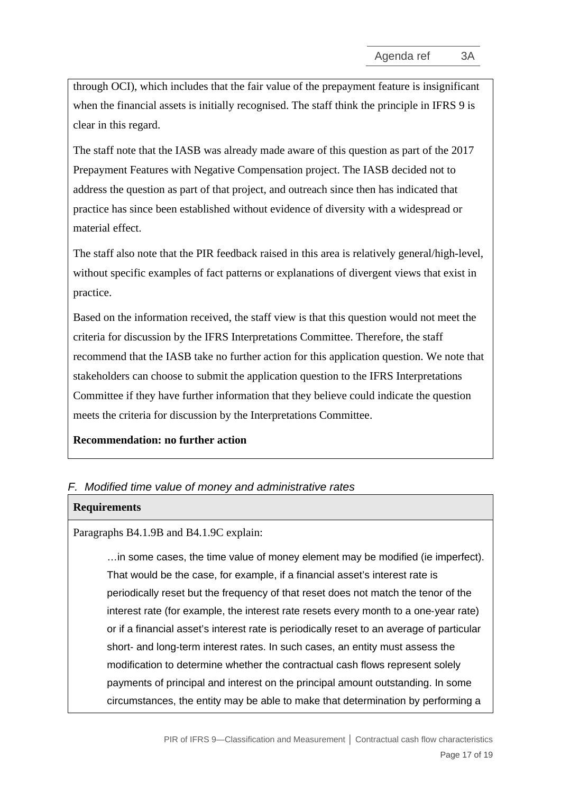through OCI), which includes that the fair value of the prepayment feature is insignificant when the financial assets is initially recognised. The staff think the principle in IFRS 9 is clear in this regard.

The staff note that the IASB was already made aware of this question as part of the 2017 Prepayment Features with Negative Compensation project. The IASB decided not to address the question as part of that project, and outreach since then has indicated that practice has since been established without evidence of diversity with a widespread or material effect.

The staff also note that the PIR feedback raised in this area is relatively general/high-level, without specific examples of fact patterns or explanations of divergent views that exist in practice.

Based on the information received, the staff view is that this question would not meet the criteria for discussion by the IFRS Interpretations Committee. Therefore, the staff recommend that the IASB take no further action for this application question. We note that stakeholders can choose to submit the application question to the IFRS Interpretations Committee if they have further information that they believe could indicate the question meets the criteria for discussion by the Interpretations Committee.

## **Recommendation: no further action**

## <span id="page-16-0"></span>*F. Modified time value of money and administrative rates*

#### **Requirements**

Paragraphs B4.1.9B and B4.1.9C explain:

…in some cases, the time value of money element may be modified (ie imperfect). That would be the case, for example, if a financial asset's interest rate is periodically reset but the frequency of that reset does not match the tenor of the interest rate (for example, the interest rate resets every month to a one‑year rate) or if a financial asset's interest rate is periodically reset to an average of particular short- and long-term interest rates. In such cases, an entity must assess the modification to determine whether the contractual cash flows represent solely payments of principal and interest on the principal amount outstanding. In some circumstances, the entity may be able to make that determination by performing a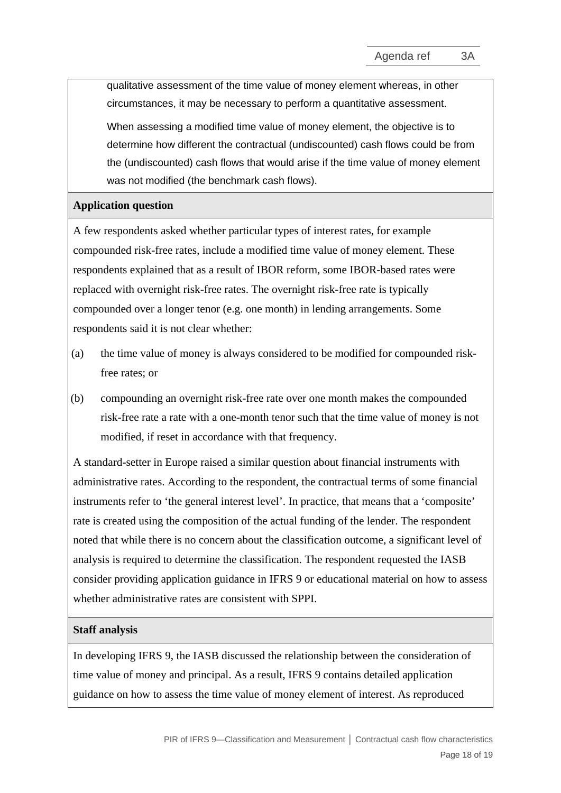qualitative assessment of the time value of money element whereas, in other circumstances, it may be necessary to perform a quantitative assessment.

When assessing a modified time value of money element, the objective is to determine how different the contractual (undiscounted) cash flows could be from the (undiscounted) cash flows that would arise if the time value of money element was not modified (the benchmark cash flows).

#### **Application question**

A few respondents asked whether particular types of interest rates, for example compounded risk-free rates, include a modified time value of money element. These respondents explained that as a result of IBOR reform, some IBOR-based rates were replaced with overnight risk-free rates. The overnight risk-free rate is typically compounded over a longer tenor (e.g. one month) in lending arrangements. Some respondents said it is not clear whether:

- (a) the time value of money is always considered to be modified for compounded riskfree rates; or
- (b) compounding an overnight risk-free rate over one month makes the compounded risk-free rate a rate with a one-month tenor such that the time value of money is not modified, if reset in accordance with that frequency.

A standard-setter in Europe raised a similar question about financial instruments with administrative rates. According to the respondent, the contractual terms of some financial instruments refer to 'the general interest level'. In practice, that means that a 'composite' rate is created using the composition of the actual funding of the lender. The respondent noted that while there is no concern about the classification outcome, a significant level of analysis is required to determine the classification. The respondent requested the IASB consider providing application guidance in IFRS 9 or educational material on how to assess whether administrative rates are consistent with SPPI.

## **Staff analysis**

In developing IFRS 9, the IASB discussed the relationship between the consideration of time value of money and principal. As a result, IFRS 9 contains detailed application guidance on how to assess the time value of money element of interest. As reproduced